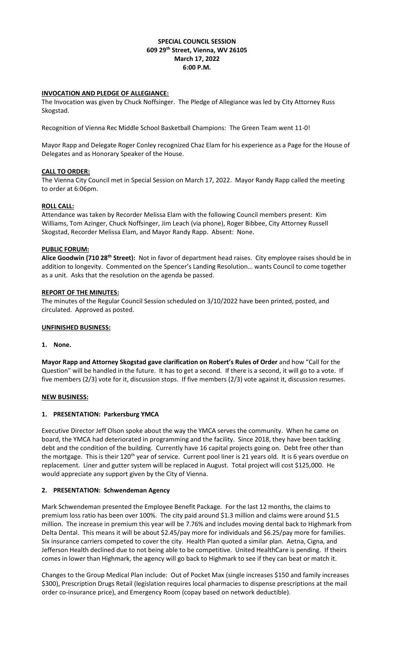### **SPECIAL COUNCIL SESSION 609 29th Street, Vienna, WV 26105 March 17, 2022 6:00 P.M.**

### **INVOCATION AND PLEDGE OF ALLEGIANCE:**

The Invocation was given by Chuck Noffsinger. The Pledge of Allegiance was led by City Attorney Russ Skogstad.

Recognition of Vienna Rec Middle School Basketball Champions: The Green Team went 11-0!

Mayor Rapp and Delegate Roger Conley recognized Chaz Elam for his experience as a Page for the House of Delegates and as Honorary Speaker of the House.

## **CALL TO ORDER:**

The Vienna City Council met in Special Session on March 17, 2022. Mayor Randy Rapp called the meeting to order at 6:06pm.

#### **ROLL CALL:**

Attendance was taken by Recorder Melissa Elam with the following Council members present: Kim Williams, Tom Azinger, Chuck Noffsinger, Jim Leach (via phone), Roger Bibbee, City Attorney Russell Skogstad, Recorder Melissa Elam, and Mayor Randy Rapp. Absent: None.

# **PUBLIC FORUM:**

**Alice Goodwin (710 28th Street):** Not in favor of department head raises. City employee raises should be in addition to longevity. Commented on the Spencer's Landing Resolution… wants Council to come together as a unit. Asks that the resolution on the agenda be passed.

#### **REPORT OF THE MINUTES:**

The minutes of the Regular Council Session scheduled on 3/10/2022 have been printed, posted, and circulated. Approved as posted.

### **UNFINISHED BUSINESS:**

#### **1. None.**

**Mayor Rapp and Attorney Skogstad gave clarification on Robert's Rules of Order** and how "Call for the Question" will be handled in the future. It has to get a second. If there is a second, it will go to a vote. If five members (2/3) vote for it, discussion stops. If five members (2/3) vote against it, discussion resumes.

#### **NEW BUSINESS:**

# **1. PRESENTATION: Parkersburg YMCA**

Executive Director Jeff Olson spoke about the way the YMCA serves the community. When he came on board, the YMCA had deteriorated in programming and the facility. Since 2018, they have been tackling debt and the condition of the building. Currently have 16 capital projects going on. Debt free other than the mortgage. This is their 120<sup>th</sup> year of service. Current pool liner is 21 years old. It is 6 years overdue on replacement. Liner and gutter system will be replaced in August. Total project will cost \$125,000. He would appreciate any support given by the City of Vienna.

#### **2. PRESENTATION: Schwendeman Agency**

Mark Schwendeman presented the Employee Benefit Package. For the last 12 months, the claims to premium loss ratio has been over 100%. The city paid around \$1.3 million and claims were around \$1.5 million. The increase in premium this year will be 7.76% and includes moving dental back to Highmark from Delta Dental. This means it will be about \$2.45/pay more for individuals and \$6.25/pay more for families. Six insurance carriers competed to cover the city. Health Plan quoted a similar plan. Aetna, Cigna, and Jefferson Health declined due to not being able to be competitive. United HealthCare is pending. If theirs comes in lower than Highmark, the agency will go back to Highmark to see if they can beat or match it.

Changes to the Group Medical Plan include: Out of Pocket Max (single increases \$150 and family increases \$300), Prescription Drugs Retail (legislation requires local pharmacies to dispense prescriptions at the mail order co-insurance price), and Emergency Room (copay based on network deductible).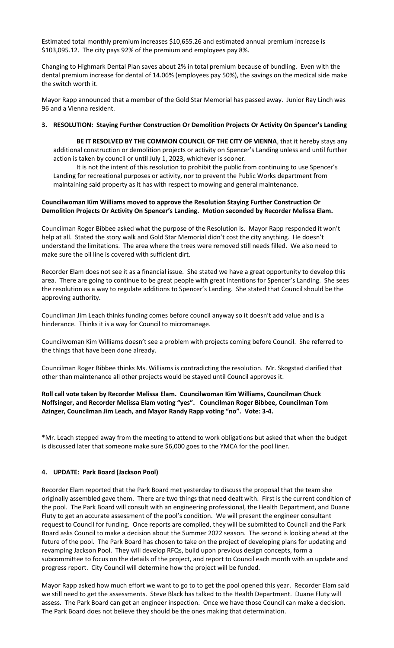Estimated total monthly premium increases \$10,655.26 and estimated annual premium increase is \$103,095.12. The city pays 92% of the premium and employees pay 8%.

Changing to Highmark Dental Plan saves about 2% in total premium because of bundling. Even with the dental premium increase for dental of 14.06% (employees pay 50%), the savings on the medical side make the switch worth it.

Mayor Rapp announced that a member of the Gold Star Memorial has passed away. Junior Ray Linch was 96 and a Vienna resident.

#### **3. RESOLUTION: Staying Further Construction Or Demolition Projects Or Activity On Spencer's Landing**

BE IT RESOLVED BY THE COMMON COUNCIL OF THE CITY OF VIENNA, that it hereby stays any additional construction or demolition projects or activity on Spencer's Landing unless and until further action is taken by council or until July 1, 2023, whichever is sooner.

It is not the intent of this resolution to prohibit the public from continuing to use Spencer's Landing for recreational purposes or activity, nor to prevent the Public Works department from maintaining said property as it has with respect to mowing and general maintenance.

### **Councilwoman Kim Williams moved to approve the Resolution Staying Further Construction Or Demolition Projects Or Activity On Spencer's Landing. Motion seconded by Recorder Melissa Elam.**

Councilman Roger Bibbee asked what the purpose of the Resolution is. Mayor Rapp responded it won't help at all. Stated the story walk and Gold Star Memorial didn't cost the city anything. He doesn't understand the limitations. The area where the trees were removed still needs filled. We also need to make sure the oil line is covered with sufficient dirt.

Recorder Elam does not see it as a financial issue. She stated we have a great opportunity to develop this area. There are going to continue to be great people with great intentions for Spencer's Landing. She sees the resolution as a way to regulate additions to Spencer's Landing. She stated that Council should be the approving authority.

Councilman Jim Leach thinks funding comes before council anyway so it doesn't add value and is a hinderance. Thinks it is a way for Council to micromanage.

Councilwoman Kim Williams doesn't see a problem with projects coming before Council. She referred to the things that have been done already.

Councilman Roger Bibbee thinks Ms. Williams is contradicting the resolution. Mr. Skogstad clarified that other than maintenance all other projects would be stayed until Council approves it.

# **Roll call vote taken by Recorder Melissa Elam. Councilwoman Kim Williams, Councilman Chuck Noffsinger, and Recorder Melissa Elam voting "yes". Councilman Roger Bibbee, Councilman Tom Azinger, Councilman Jim Leach, and Mayor Randy Rapp voting "no". Vote: 3-4.**

\*Mr. Leach stepped away from the meeting to attend to work obligations but asked that when the budget is discussed later that someone make sure \$6,000 goes to the YMCA for the pool liner.

#### **4. UPDATE: Park Board (Jackson Pool)**

Recorder Elam reported that the Park Board met yesterday to discuss the proposal that the team she originally assembled gave them. There are two things that need dealt with. First is the current condition of the pool. The Park Board will consult with an engineering professional, the Health Department, and Duane Fluty to get an accurate assessment of the pool's condition. We will present the engineer consultant request to Council for funding. Once reports are compiled, they will be submitted to Council and the Park Board asks Council to make a decision about the Summer 2022 season. The second is looking ahead at the future of the pool. The Park Board has chosen to take on the project of developing plans for updating and revamping Jackson Pool. They will develop RFQs, build upon previous design concepts, form a subcommittee to focus on the details of the project, and report to Council each month with an update and progress report. City Council will determine how the project will be funded.

Mayor Rapp asked how much effort we want to go to to get the pool opened this year. Recorder Elam said we still need to get the assessments. Steve Black has talked to the Health Department. Duane Fluty will assess. The Park Board can get an engineer inspection. Once we have those Council can make a decision. The Park Board does not believe they should be the ones making that determination.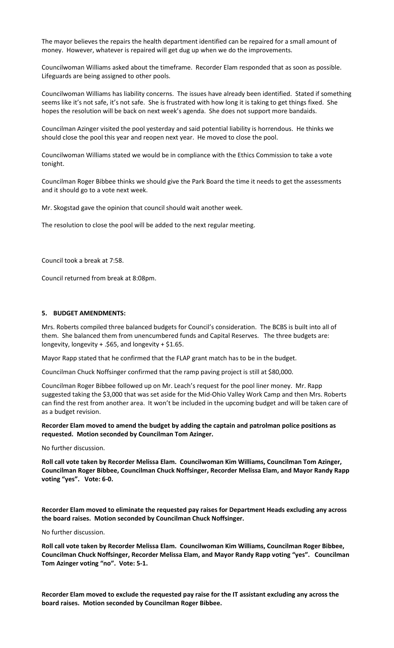The mayor believes the repairs the health department identified can be repaired for a small amount of money. However, whatever is repaired will get dug up when we do the improvements.

Councilwoman Williams asked about the timeframe. Recorder Elam responded that as soon as possible. Lifeguards are being assigned to other pools.

Councilwoman Williams has liability concerns. The issues have already been identified. Stated if something seems like it's not safe, it's not safe. She is frustrated with how long it is taking to get things fixed. She hopes the resolution will be back on next week's agenda. She does not support more bandaids.

Councilman Azinger visited the pool yesterday and said potential liability is horrendous. He thinks we should close the pool this year and reopen next year. He moved to close the pool.

Councilwoman Williams stated we would be in compliance with the Ethics Commission to take a vote tonight.

Councilman Roger Bibbee thinks we should give the Park Board the time it needs to get the assessments and it should go to a vote next week.

Mr. Skogstad gave the opinion that council should wait another week.

The resolution to close the pool will be added to the next regular meeting.

Council took a break at 7:58.

Council returned from break at 8:08pm.

#### **5. BUDGET AMENDMENTS:**

Mrs. Roberts compiled three balanced budgets for Council's consideration. The BCBS is built into all of them. She balanced them from unencumbered funds and Capital Reserves. The three budgets are: longevity, longevity + .\$65, and longevity + \$1.65.

Mayor Rapp stated that he confirmed that the FLAP grant match has to be in the budget.

Councilman Chuck Noffsinger confirmed that the ramp paving project is still at \$80,000.

Councilman Roger Bibbee followed up on Mr. Leach's request for the pool liner money. Mr. Rapp suggested taking the \$3,000 that was set aside for the Mid-Ohio Valley Work Camp and then Mrs. Roberts can find the rest from another area. It won't be included in the upcoming budget and will be taken care of as a budget revision.

**Recorder Elam moved to amend the budget by adding the captain and patrolman police positions as requested. Motion seconded by Councilman Tom Azinger.** 

No further discussion.

**Roll call vote taken by Recorder Melissa Elam. Councilwoman Kim Williams, Councilman Tom Azinger, Councilman Roger Bibbee, Councilman Chuck Noffsinger, Recorder Melissa Elam, and Mayor Randy Rapp voting "yes". Vote: 6-0.**

**Recorder Elam moved to eliminate the requested pay raises for Department Heads excluding any across the board raises. Motion seconded by Councilman Chuck Noffsinger.** 

No further discussion.

**Roll call vote taken by Recorder Melissa Elam. Councilwoman Kim Williams, Councilman Roger Bibbee, Councilman Chuck Noffsinger, Recorder Melissa Elam, and Mayor Randy Rapp voting "yes". Councilman Tom Azinger voting "no". Vote: 5-1.**

**Recorder Elam moved to exclude the requested pay raise for the IT assistant excluding any across the board raises. Motion seconded by Councilman Roger Bibbee.**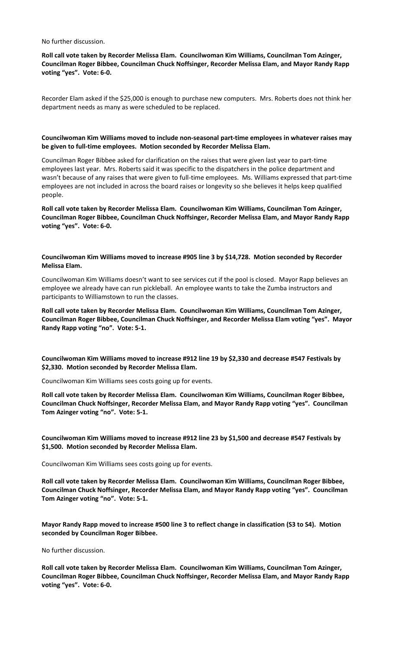No further discussion.

**Roll call vote taken by Recorder Melissa Elam. Councilwoman Kim Williams, Councilman Tom Azinger, Councilman Roger Bibbee, Councilman Chuck Noffsinger, Recorder Melissa Elam, and Mayor Randy Rapp voting "yes". Vote: 6-0.**

Recorder Elam asked if the \$25,000 is enough to purchase new computers. Mrs. Roberts does not think her department needs as many as were scheduled to be replaced.

**Councilwoman Kim Williams moved to include non-seasonal part-time employees in whatever raises may be given to full-time employees. Motion seconded by Recorder Melissa Elam.** 

Councilman Roger Bibbee asked for clarification on the raises that were given last year to part-time employees last year. Mrs. Roberts said it was specific to the dispatchers in the police department and wasn't because of any raises that were given to full-time employees. Ms. Williams expressed that part-time employees are not included in across the board raises or longevity so she believes it helps keep qualified people.

**Roll call vote taken by Recorder Melissa Elam. Councilwoman Kim Williams, Councilman Tom Azinger, Councilman Roger Bibbee, Councilman Chuck Noffsinger, Recorder Melissa Elam, and Mayor Randy Rapp voting "yes". Vote: 6-0.**

**Councilwoman Kim Williams moved to increase #905 line 3 by \$14,728. Motion seconded by Recorder Melissa Elam.** 

Councilwoman Kim Williams doesn't want to see services cut if the pool is closed. Mayor Rapp believes an employee we already have can run pickleball. An employee wants to take the Zumba instructors and participants to Williamstown to run the classes.

**Roll call vote taken by Recorder Melissa Elam. Councilwoman Kim Williams, Councilman Tom Azinger, Councilman Roger Bibbee, Councilman Chuck Noffsinger, and Recorder Melissa Elam voting "yes". Mayor Randy Rapp voting "no". Vote: 5-1.**

**Councilwoman Kim Williams moved to increase #912 line 19 by \$2,330 and decrease #547 Festivals by \$2,330. Motion seconded by Recorder Melissa Elam.** 

Councilwoman Kim Williams sees costs going up for events.

**Roll call vote taken by Recorder Melissa Elam. Councilwoman Kim Williams, Councilman Roger Bibbee, Councilman Chuck Noffsinger, Recorder Melissa Elam, and Mayor Randy Rapp voting "yes". Councilman Tom Azinger voting "no". Vote: 5-1.**

**Councilwoman Kim Williams moved to increase #912 line 23 by \$1,500 and decrease #547 Festivals by \$1,500. Motion seconded by Recorder Melissa Elam.** 

Councilwoman Kim Williams sees costs going up for events.

**Roll call vote taken by Recorder Melissa Elam. Councilwoman Kim Williams, Councilman Roger Bibbee, Councilman Chuck Noffsinger, Recorder Melissa Elam, and Mayor Randy Rapp voting "yes". Councilman Tom Azinger voting "no". Vote: 5-1.**

**Mayor Randy Rapp moved to increase #500 line 3 to reflect change in classification (S3 to S4). Motion seconded by Councilman Roger Bibbee.** 

No further discussion.

**Roll call vote taken by Recorder Melissa Elam. Councilwoman Kim Williams, Councilman Tom Azinger, Councilman Roger Bibbee, Councilman Chuck Noffsinger, Recorder Melissa Elam, and Mayor Randy Rapp voting "yes". Vote: 6-0.**